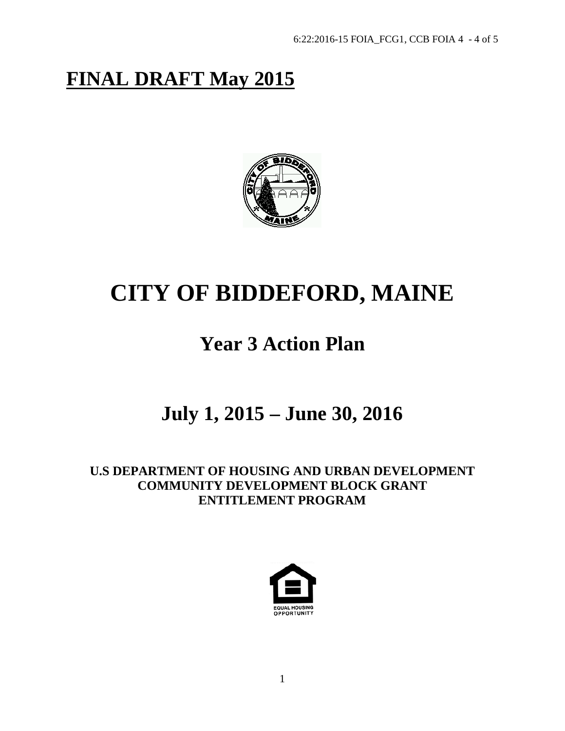# **FINAL DRAFT May 2015**



# **CITY OF BIDDEFORD, MAINE**

# **Year 3 Action Plan**

# **July 1, 2015 – June 30, 2016**

**U.S DEPARTMENT OF HOUSING AND URBAN DEVELOPMENT COMMUNITY DEVELOPMENT BLOCK GRANT ENTITLEMENT PROGRAM**

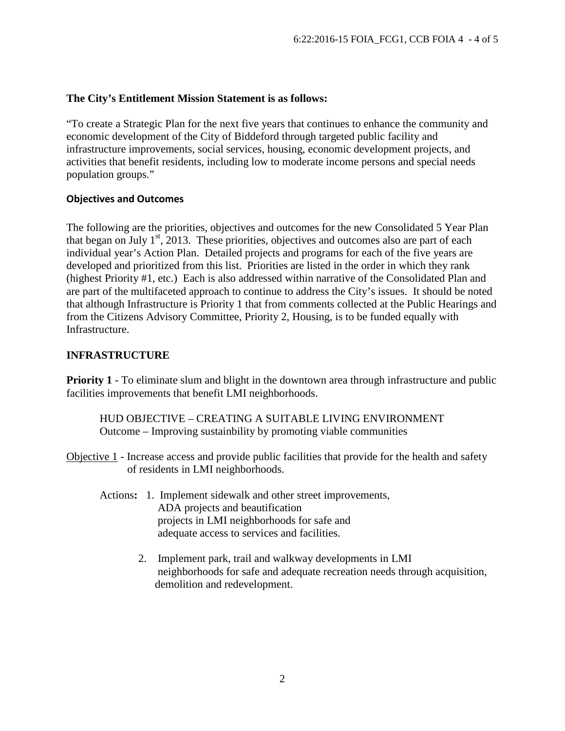#### **The City's Entitlement Mission Statement is as follows:**

"To create a Strategic Plan for the next five years that continues to enhance the community and economic development of the City of Biddeford through targeted public facility and infrastructure improvements, social services, housing, economic development projects, and activities that benefit residents, including low to moderate income persons and special needs population groups."

#### **Objectives and Outcomes**

The following are the priorities, objectives and outcomes for the new Consolidated 5 Year Plan that began on July  $1<sup>st</sup>$ , 2013. These priorities, objectives and outcomes also are part of each individual year's Action Plan. Detailed projects and programs for each of the five years are developed and prioritized from this list. Priorities are listed in the order in which they rank (highest Priority #1, etc.) Each is also addressed within narrative of the Consolidated Plan and are part of the multifaceted approach to continue to address the City's issues. It should be noted that although Infrastructure is Priority 1 that from comments collected at the Public Hearings and from the Citizens Advisory Committee, Priority 2, Housing, is to be funded equally with Infrastructure.

#### **INFRASTRUCTURE**

**Priority 1** - To eliminate slum and blight in the downtown area through infrastructure and public facilities improvements that benefit LMI neighborhoods.

HUD OBJECTIVE – CREATING A SUITABLE LIVING ENVIRONMENT Outcome – Improving sustainbility by promoting viable communities

Objective 1 - Increase access and provide public facilities that provide for the health and safety of residents in LMI neighborhoods.

- Actions**:** 1. Implement sidewalk and other street improvements, ADA projects and beautification projects in LMI neighborhoods for safe and adequate access to services and facilities.
	- 2. Implement park, trail and walkway developments in LMI neighborhoods for safe and adequate recreation needs through acquisition, demolition and redevelopment.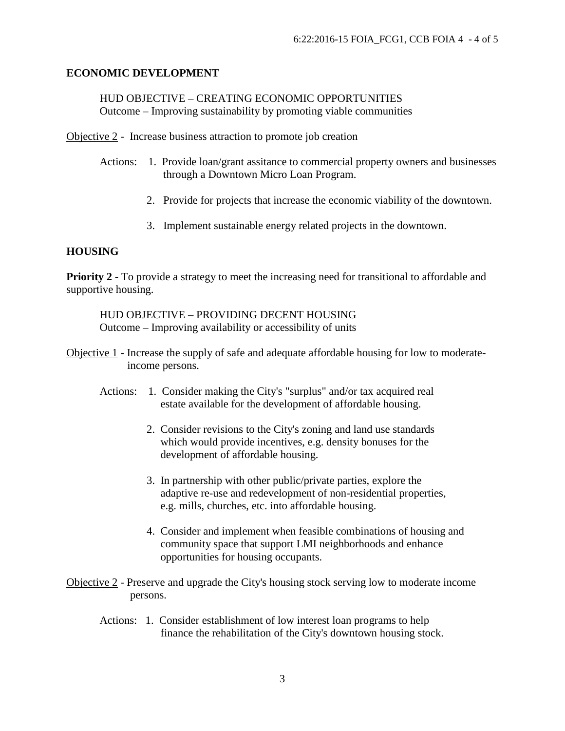#### **ECONOMIC DEVELOPMENT**

HUD OBJECTIVE – CREATING ECONOMIC OPPORTUNITIES Outcome – Improving sustainability by promoting viable communities

Objective 2 - Increase business attraction to promote job creation

- Actions: 1. Provide loan/grant assitance to commercial property owners and businesses through a Downtown Micro Loan Program.
	- 2. Provide for projects that increase the economic viability of the downtown.
	- 3. Implement sustainable energy related projects in the downtown.

#### **HOUSING**

**Priority 2** - To provide a strategy to meet the increasing need for transitional to affordable and supportive housing.

HUD OBJECTIVE – PROVIDING DECENT HOUSING Outcome – Improving availability or accessibility of units

- Objective 1 Increase the supply of safe and adequate affordable housing for low to moderate income persons.
	- Actions: 1. Consider making the City's "surplus" and/or tax acquired real estate available for the development of affordable housing.
		- 2. Consider revisions to the City's zoning and land use standards which would provide incentives, e.g. density bonuses for the development of affordable housing.
		- 3. In partnership with other public/private parties, explore the adaptive re-use and redevelopment of non-residential properties, e.g. mills, churches, etc. into affordable housing.
		- 4. Consider and implement when feasible combinations of housing and community space that support LMI neighborhoods and enhance opportunities for housing occupants.
- Objective 2 Preserve and upgrade the City's housing stock serving low to moderate income persons.
	- Actions: 1. Consider establishment of low interest loan programs to help finance the rehabilitation of the City's downtown housing stock.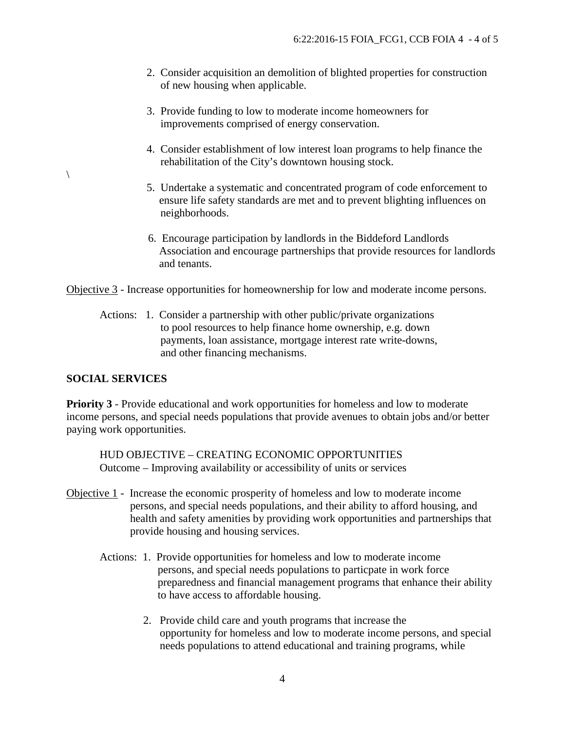- 2. Consider acquisition an demolition of blighted properties for construction of new housing when applicable.
- 3. Provide funding to low to moderate income homeowners for improvements comprised of energy conservation.
- 4. Consider establishment of low interest loan programs to help finance the rehabilitation of the City's downtown housing stock.
- 5. Undertake a systematic and concentrated program of code enforcement to ensure life safety standards are met and to prevent blighting influences on neighborhoods.
- 6. Encourage participation by landlords in the Biddeford Landlords Association and encourage partnerships that provide resources for landlords and tenants.

Objective 3 - Increase opportunities for homeownership for low and moderate income persons.

 Actions: 1. Consider a partnership with other public/private organizations to pool resources to help finance home ownership, e.g. down payments, loan assistance, mortgage interest rate write-downs, and other financing mechanisms.

#### **SOCIAL SERVICES**

 $\setminus$ 

**Priority 3** - Provide educational and work opportunities for homeless and low to moderate income persons, and special needs populations that provide avenues to obtain jobs and/or better paying work opportunities.

HUD OBJECTIVE – CREATING ECONOMIC OPPORTUNITIES Outcome – Improving availability or accessibility of units or services

- Objective 1 Increase the economic prosperity of homeless and low to moderate income persons, and special needs populations, and their ability to afford housing, and health and safety amenities by providing work opportunities and partnerships that provide housing and housing services.
	- Actions: 1. Provide opportunities for homeless and low to moderate income persons, and special needs populations to particpate in work force preparedness and financial management programs that enhance their ability to have access to affordable housing.
		- 2. Provide child care and youth programs that increase the opportunity for homeless and low to moderate income persons, and special needs populations to attend educational and training programs, while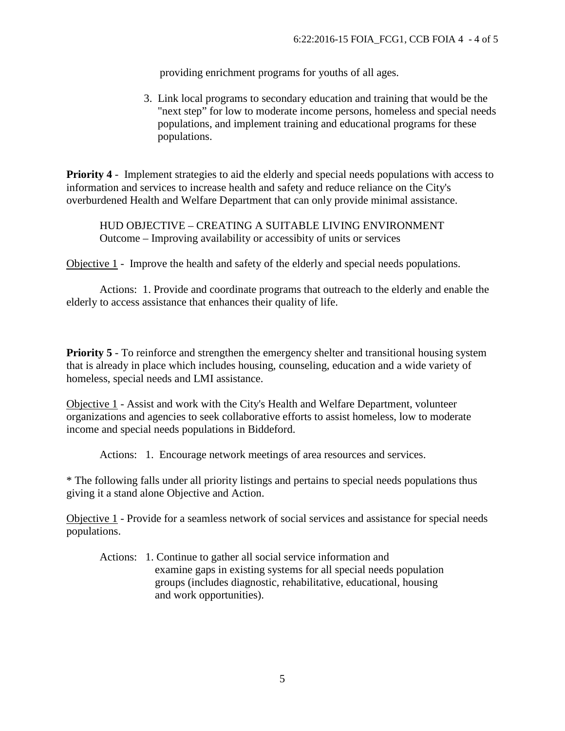providing enrichment programs for youths of all ages.

3. Link local programs to secondary education and training that would be the "next step" for low to moderate income persons, homeless and special needs populations, and implement training and educational programs for these populations.

**Priority 4** - Implement strategies to aid the elderly and special needs populations with access to information and services to increase health and safety and reduce reliance on the City's overburdened Health and Welfare Department that can only provide minimal assistance.

HUD OBJECTIVE – CREATING A SUITABLE LIVING ENVIRONMENT Outcome – Improving availability or accessibity of units or services

Objective 1 - Improve the health and safety of the elderly and special needs populations.

 Actions: 1. Provide and coordinate programs that outreach to the elderly and enable the elderly to access assistance that enhances their quality of life.

**Priority 5** - To reinforce and strengthen the emergency shelter and transitional housing system that is already in place which includes housing, counseling, education and a wide variety of homeless, special needs and LMI assistance.

Objective 1 - Assist and work with the City's Health and Welfare Department, volunteer organizations and agencies to seek collaborative efforts to assist homeless, low to moderate income and special needs populations in Biddeford.

Actions: 1. Encourage network meetings of area resources and services.

\* The following falls under all priority listings and pertains to special needs populations thus giving it a stand alone Objective and Action.

Objective 1 - Provide for a seamless network of social services and assistance for special needs populations.

 Actions: 1. Continue to gather all social service information and examine gaps in existing systems for all special needs population groups (includes diagnostic, rehabilitative, educational, housing and work opportunities).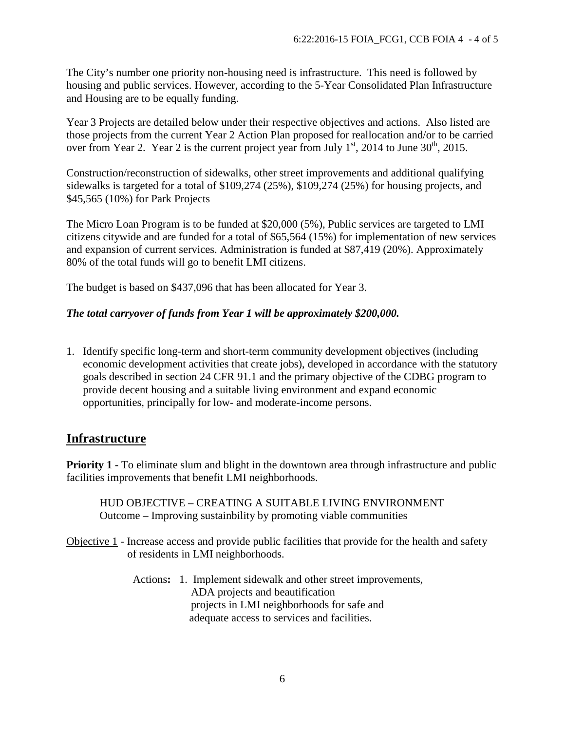The City's number one priority non-housing need is infrastructure. This need is followed by housing and public services. However, according to the 5-Year Consolidated Plan Infrastructure and Housing are to be equally funding.

Year 3 Projects are detailed below under their respective objectives and actions. Also listed are those projects from the current Year 2 Action Plan proposed for reallocation and/or to be carried over from Year 2. Year 2 is the current project year from July  $1<sup>st</sup>$ , 2014 to June 30<sup>th</sup>, 2015.

Construction/reconstruction of sidewalks, other street improvements and additional qualifying sidewalks is targeted for a total of \$109,274 (25%), \$109,274 (25%) for housing projects, and \$45,565 (10%) for Park Projects

The Micro Loan Program is to be funded at \$20,000 (5%), Public services are targeted to LMI citizens citywide and are funded for a total of \$65,564 (15%) for implementation of new services and expansion of current services. Administration is funded at \$87,419 (20%). Approximately 80% of the total funds will go to benefit LMI citizens.

The budget is based on \$437,096 that has been allocated for Year 3.

#### *The total carryover of funds from Year 1 will be approximately \$200,000.*

1. Identify specific long-term and short-term community development objectives (including economic development activities that create jobs), developed in accordance with the statutory goals described in section 24 CFR 91.1 and the primary objective of the CDBG program to provide decent housing and a suitable living environment and expand economic opportunities, principally for low- and moderate-income persons.

### **Infrastructure**

**Priority 1** - To eliminate slum and blight in the downtown area through infrastructure and public facilities improvements that benefit LMI neighborhoods.

HUD OBJECTIVE – CREATING A SUITABLE LIVING ENVIRONMENT Outcome – Improving sustainbility by promoting viable communities

Objective 1 - Increase access and provide public facilities that provide for the health and safety of residents in LMI neighborhoods.

> Actions**:** 1. Implement sidewalk and other street improvements, ADA projects and beautification projects in LMI neighborhoods for safe and adequate access to services and facilities.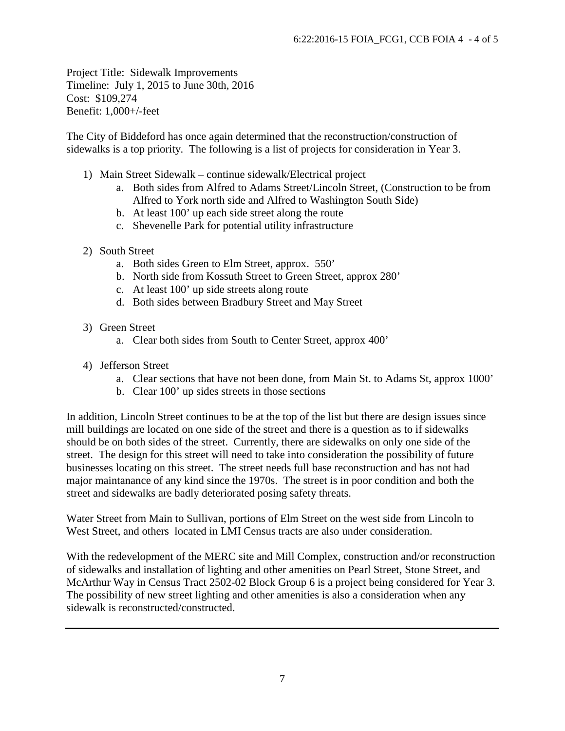Project Title: Sidewalk Improvements Timeline: July 1, 2015 to June 30th, 2016 Cost: \$109,274 Benefit: 1,000+/-feet

The City of Biddeford has once again determined that the reconstruction/construction of sidewalks is a top priority. The following is a list of projects for consideration in Year 3.

- 1) Main Street Sidewalk continue sidewalk/Electrical project
	- a. Both sides from Alfred to Adams Street/Lincoln Street, (Construction to be from Alfred to York north side and Alfred to Washington South Side)
	- b. At least 100' up each side street along the route
	- c. Shevenelle Park for potential utility infrastructure
- 2) South Street
	- a. Both sides Green to Elm Street, approx. 550'
	- b. North side from Kossuth Street to Green Street, approx 280'
	- c. At least 100' up side streets along route
	- d. Both sides between Bradbury Street and May Street
- 3) Green Street
	- a. Clear both sides from South to Center Street, approx 400'
- 4) Jefferson Street
	- a. Clear sections that have not been done, from Main St. to Adams St, approx 1000'
	- b. Clear 100' up sides streets in those sections

In addition, Lincoln Street continues to be at the top of the list but there are design issues since mill buildings are located on one side of the street and there is a question as to if sidewalks should be on both sides of the street. Currently, there are sidewalks on only one side of the street. The design for this street will need to take into consideration the possibility of future businesses locating on this street. The street needs full base reconstruction and has not had major maintanance of any kind since the 1970s. The street is in poor condition and both the street and sidewalks are badly deteriorated posing safety threats.

Water Street from Main to Sullivan, portions of Elm Street on the west side from Lincoln to West Street, and others located in LMI Census tracts are also under consideration.

With the redevelopment of the MERC site and Mill Complex, construction and/or reconstruction of sidewalks and installation of lighting and other amenities on Pearl Street, Stone Street, and McArthur Way in Census Tract 2502-02 Block Group 6 is a project being considered for Year 3. The possibility of new street lighting and other amenities is also a consideration when any sidewalk is reconstructed/constructed.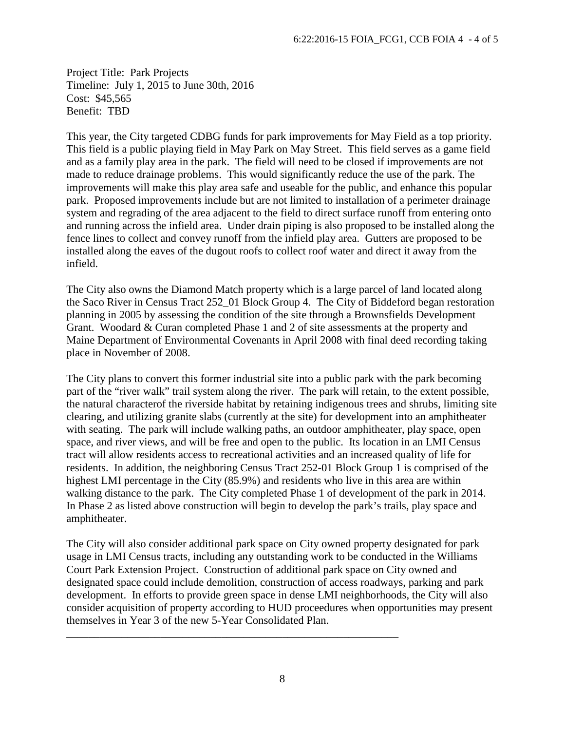Project Title: Park Projects Timeline: July 1, 2015 to June 30th, 2016 Cost: \$45,565 Benefit: TBD

This year, the City targeted CDBG funds for park improvements for May Field as a top priority. This field is a public playing field in May Park on May Street. This field serves as a game field and as a family play area in the park. The field will need to be closed if improvements are not made to reduce drainage problems. This would significantly reduce the use of the park. The improvements will make this play area safe and useable for the public, and enhance this popular park. Proposed improvements include but are not limited to installation of a perimeter drainage system and regrading of the area adjacent to the field to direct surface runoff from entering onto and running across the infield area. Under drain piping is also proposed to be installed along the fence lines to collect and convey runoff from the infield play area. Gutters are proposed to be installed along the eaves of the dugout roofs to collect roof water and direct it away from the infield.

The City also owns the Diamond Match property which is a large parcel of land located along the Saco River in Census Tract 252\_01 Block Group 4. The City of Biddeford began restoration planning in 2005 by assessing the condition of the site through a Brownsfields Development Grant. Woodard & Curan completed Phase 1 and 2 of site assessments at the property and Maine Department of Environmental Covenants in April 2008 with final deed recording taking place in November of 2008.

The City plans to convert this former industrial site into a public park with the park becoming part of the "river walk" trail system along the river. The park will retain, to the extent possible, the natural characterof the riverside habitat by retaining indigenous trees and shrubs, limiting site clearing, and utilizing granite slabs (currently at the site) for development into an amphitheater with seating. The park will include walking paths, an outdoor amphitheater, play space, open space, and river views, and will be free and open to the public. Its location in an LMI Census tract will allow residents access to recreational activities and an increased quality of life for residents. In addition, the neighboring Census Tract 252-01 Block Group 1 is comprised of the highest LMI percentage in the City (85.9%) and residents who live in this area are within walking distance to the park. The City completed Phase 1 of development of the park in 2014. In Phase 2 as listed above construction will begin to develop the park's trails, play space and amphitheater.

The City will also consider additional park space on City owned property designated for park usage in LMI Census tracts, including any outstanding work to be conducted in the Williams Court Park Extension Project. Construction of additional park space on City owned and designated space could include demolition, construction of access roadways, parking and park development. In efforts to provide green space in dense LMI neighborhoods, the City will also consider acquisition of property according to HUD proceedures when opportunities may present themselves in Year 3 of the new 5-Year Consolidated Plan.

\_\_\_\_\_\_\_\_\_\_\_\_\_\_\_\_\_\_\_\_\_\_\_\_\_\_\_\_\_\_\_\_\_\_\_\_\_\_\_\_\_\_\_\_\_\_\_\_\_\_\_\_\_\_\_\_\_\_\_\_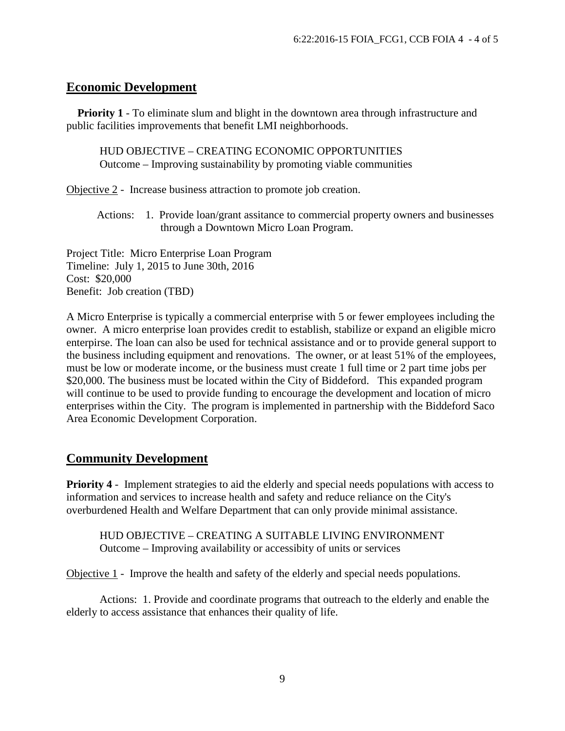### **Economic Development**

**Priority 1** - To eliminate slum and blight in the downtown area through infrastructure and public facilities improvements that benefit LMI neighborhoods.

HUD OBJECTIVE – CREATING ECONOMIC OPPORTUNITIES Outcome – Improving sustainability by promoting viable communities

Objective 2 - Increase business attraction to promote job creation.

 Actions: 1. Provide loan/grant assitance to commercial property owners and businesses through a Downtown Micro Loan Program.

Project Title: Micro Enterprise Loan Program Timeline: July 1, 2015 to June 30th, 2016 Cost: \$20,000 Benefit: Job creation (TBD)

A Micro Enterprise is typically a commercial enterprise with 5 or fewer employees including the owner. A micro enterprise loan provides credit to establish, stabilize or expand an eligible micro enterpirse. The loan can also be used for technical assistance and or to provide general support to the business including equipment and renovations. The owner, or at least 51% of the employees, must be low or moderate income, or the business must create 1 full time or 2 part time jobs per \$20,000. The business must be located within the City of Biddeford. This expanded program will continue to be used to provide funding to encourage the development and location of micro enterprises within the City. The program is implemented in partnership with the Biddeford Saco Area Economic Development Corporation.

## **Community Development**

**Priority 4** - Implement strategies to aid the elderly and special needs populations with access to information and services to increase health and safety and reduce reliance on the City's overburdened Health and Welfare Department that can only provide minimal assistance.

HUD OBJECTIVE – CREATING A SUITABLE LIVING ENVIRONMENT Outcome – Improving availability or accessibity of units or services

Objective 1 - Improve the health and safety of the elderly and special needs populations.

 Actions: 1. Provide and coordinate programs that outreach to the elderly and enable the elderly to access assistance that enhances their quality of life.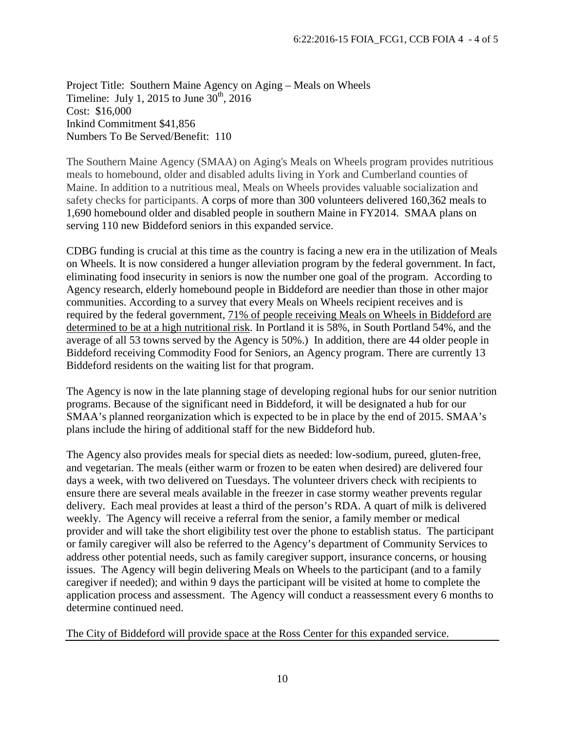Project Title: Southern Maine Agency on Aging – Meals on Wheels Timeline: July 1, 2015 to June  $30<sup>th</sup>$ , 2016 Cost: \$16,000 Inkind Commitment \$41,856 Numbers To Be Served/Benefit: 110

The Southern Maine Agency (SMAA) on Aging's Meals on Wheels program provides nutritious meals to homebound, older and disabled adults living in York and Cumberland counties of Maine. In addition to a nutritious meal, Meals on Wheels provides valuable socialization and safety checks for participants. A corps of more than 300 volunteers delivered 160,362 meals to 1,690 homebound older and disabled people in southern Maine in FY2014. SMAA plans on serving 110 new Biddeford seniors in this expanded service.

CDBG funding is crucial at this time as the country is facing a new era in the utilization of Meals on Wheels. It is now considered a hunger alleviation program by the federal government. In fact, eliminating food insecurity in seniors is now the number one goal of the program. According to Agency research, elderly homebound people in Biddeford are needier than those in other major communities. According to a survey that every Meals on Wheels recipient receives and is required by the federal government, 71% of people receiving Meals on Wheels in Biddeford are determined to be at a high nutritional risk. In Portland it is 58%, in South Portland 54%, and the average of all 53 towns served by the Agency is 50%.) In addition, there are 44 older people in Biddeford receiving Commodity Food for Seniors, an Agency program. There are currently 13 Biddeford residents on the waiting list for that program.

The Agency is now in the late planning stage of developing regional hubs for our senior nutrition programs. Because of the significant need in Biddeford, it will be designated a hub for our SMAA's planned reorganization which is expected to be in place by the end of 2015. SMAA's plans include the hiring of additional staff for the new Biddeford hub.

The Agency also provides meals for special diets as needed: low-sodium, pureed, gluten-free, and vegetarian. The meals (either warm or frozen to be eaten when desired) are delivered four days a week, with two delivered on Tuesdays. The volunteer drivers check with recipients to ensure there are several meals available in the freezer in case stormy weather prevents regular delivery. Each meal provides at least a third of the person's RDA. A quart of milk is delivered weekly. The Agency will receive a referral from the senior, a family member or medical provider and will take the short eligibility test over the phone to establish status. The participant or family caregiver will also be referred to the Agency's department of Community Services to address other potential needs, such as family caregiver support, insurance concerns, or housing issues. The Agency will begin delivering Meals on Wheels to the participant (and to a family caregiver if needed); and within 9 days the participant will be visited at home to complete the application process and assessment. The Agency will conduct a reassessment every 6 months to determine continued need.

The City of Biddeford will provide space at the Ross Center for this expanded service.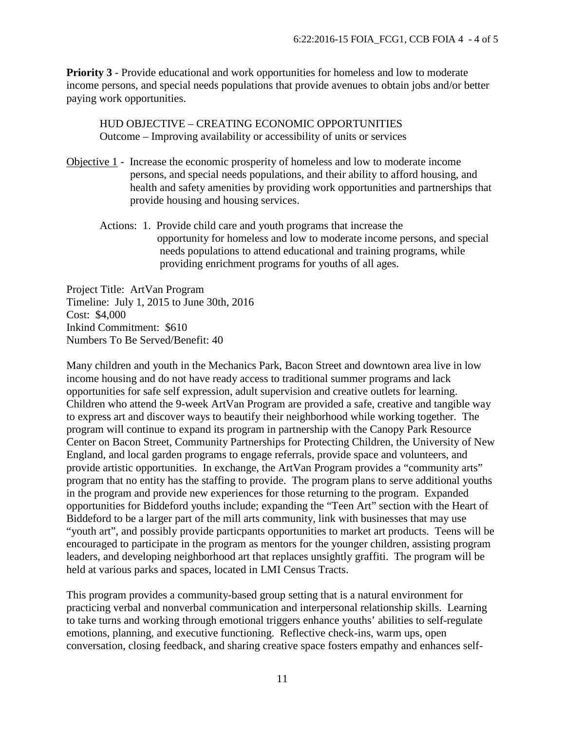**Priority 3** - Provide educational and work opportunities for homeless and low to moderate income persons, and special needs populations that provide avenues to obtain jobs and/or better paying work opportunities.

HUD OBJECTIVE – CREATING ECONOMIC OPPORTUNITIES Outcome – Improving availability or accessibility of units or services

- Objective 1 Increase the economic prosperity of homeless and low to moderate income persons, and special needs populations, and their ability to afford housing, and health and safety amenities by providing work opportunities and partnerships that provide housing and housing services.
	- Actions: 1. Provide child care and youth programs that increase the opportunity for homeless and low to moderate income persons, and special needs populations to attend educational and training programs, while providing enrichment programs for youths of all ages.

Project Title: ArtVan Program Timeline: July 1, 2015 to June 30th, 2016 Cost: \$4,000 Inkind Commitment: \$610 Numbers To Be Served/Benefit: 40

Many children and youth in the Mechanics Park, Bacon Street and downtown area live in low income housing and do not have ready access to traditional summer programs and lack opportunities for safe self expression, adult supervision and creative outlets for learning. Children who attend the 9-week ArtVan Program are provided a safe, creative and tangible way to express art and discover ways to beautify their neighborhood while working together. The program will continue to expand its program in partnership with the Canopy Park Resource Center on Bacon Street, Community Partnerships for Protecting Children, the University of New England, and local garden programs to engage referrals, provide space and volunteers, and provide artistic opportunities. In exchange, the ArtVan Program provides a "community arts" program that no entity has the staffing to provide. The program plans to serve additional youths in the program and provide new experiences for those returning to the program. Expanded opportunities for Biddeford youths include; expanding the "Teen Art" section with the Heart of Biddeford to be a larger part of the mill arts community, link with businesses that may use "youth art", and possibly provide particpants opportunities to market art products. Teens will be encouraged to participate in the program as mentors for the younger children, assisting program leaders, and developing neighborhood art that replaces unsightly graffiti. The program will be held at various parks and spaces, located in LMI Census Tracts.

This program provides a community-based group setting that is a natural environment for practicing verbal and nonverbal communication and interpersonal relationship skills. Learning to take turns and working through emotional triggers enhance youths' abilities to self-regulate emotions, planning, and executive functioning. Reflective check-ins, warm ups, open conversation, closing feedback, and sharing creative space fosters empathy and enhances self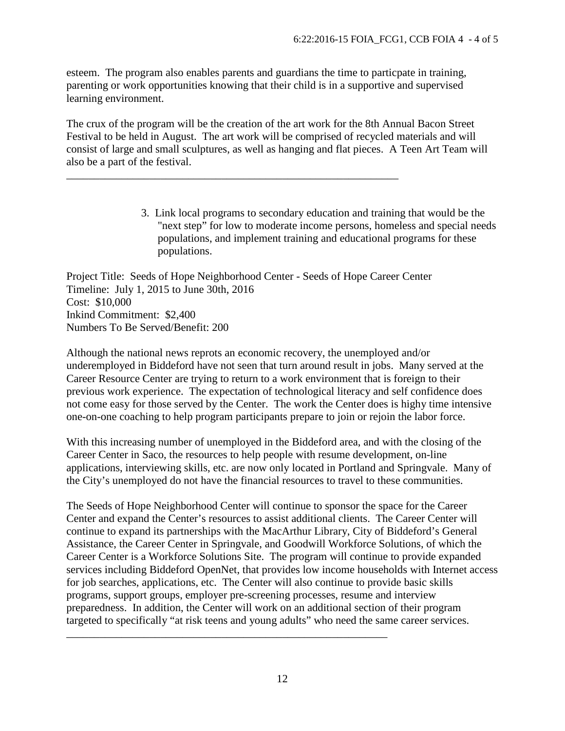esteem. The program also enables parents and guardians the time to particpate in training, parenting or work opportunities knowing that their child is in a supportive and supervised learning environment.

The crux of the program will be the creation of the art work for the 8th Annual Bacon Street Festival to be held in August. The art work will be comprised of recycled materials and will consist of large and small sculptures, as well as hanging and flat pieces. A Teen Art Team will also be a part of the festival.

> 3. Link local programs to secondary education and training that would be the "next step" for low to moderate income persons, homeless and special needs populations, and implement training and educational programs for these populations.

Project Title: Seeds of Hope Neighborhood Center - Seeds of Hope Career Center Timeline: July 1, 2015 to June 30th, 2016 Cost: \$10,000 Inkind Commitment: \$2,400 Numbers To Be Served/Benefit: 200

\_\_\_\_\_\_\_\_\_\_\_\_\_\_\_\_\_\_\_\_\_\_\_\_\_\_\_\_\_\_\_\_\_\_\_\_\_\_\_\_\_\_\_\_\_\_\_\_\_\_\_\_\_\_\_\_\_\_\_\_

Although the national news reprots an economic recovery, the unemployed and/or underemployed in Biddeford have not seen that turn around result in jobs. Many served at the Career Resource Center are trying to return to a work environment that is foreign to their previous work experience. The expectation of technological literacy and self confidence does not come easy for those served by the Center. The work the Center does is highy time intensive one-on-one coaching to help program participants prepare to join or rejoin the labor force.

With this increasing number of unemployed in the Biddeford area, and with the closing of the Career Center in Saco, the resources to help people with resume development, on-line applications, interviewing skills, etc. are now only located in Portland and Springvale. Many of the City's unemployed do not have the financial resources to travel to these communities.

The Seeds of Hope Neighborhood Center will continue to sponsor the space for the Career Center and expand the Center's resources to assist additional clients. The Career Center will continue to expand its partnerships with the MacArthur Library, City of Biddeford's General Assistance, the Career Center in Springvale, and Goodwill Workforce Solutions, of which the Career Center is a Workforce Solutions Site. The program will continue to provide expanded services including Biddeford OpenNet, that provides low income households with Internet access for job searches, applications, etc. The Center will also continue to provide basic skills programs, support groups, employer pre-screening processes, resume and interview preparedness. In addition, the Center will work on an additional section of their program targeted to specifically "at risk teens and young adults" who need the same career services.

\_\_\_\_\_\_\_\_\_\_\_\_\_\_\_\_\_\_\_\_\_\_\_\_\_\_\_\_\_\_\_\_\_\_\_\_\_\_\_\_\_\_\_\_\_\_\_\_\_\_\_\_\_\_\_\_\_\_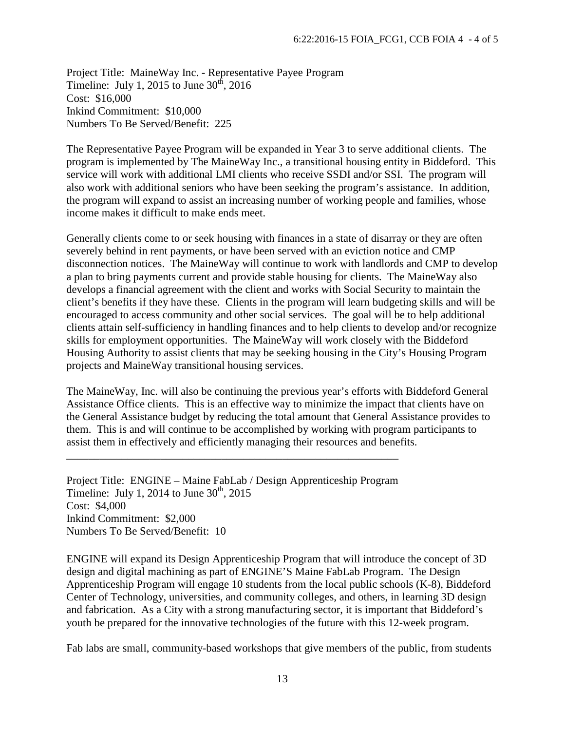Project Title: MaineWay Inc. - Representative Payee Program Timeline: July 1, 2015 to June  $30<sup>th</sup>$ , 2016 Cost: \$16,000 Inkind Commitment: \$10,000 Numbers To Be Served/Benefit: 225

The Representative Payee Program will be expanded in Year 3 to serve additional clients. The program is implemented by The MaineWay Inc., a transitional housing entity in Biddeford. This service will work with additional LMI clients who receive SSDI and/or SSI. The program will also work with additional seniors who have been seeking the program's assistance. In addition, the program will expand to assist an increasing number of working people and families, whose income makes it difficult to make ends meet.

Generally clients come to or seek housing with finances in a state of disarray or they are often severely behind in rent payments, or have been served with an eviction notice and CMP disconnection notices. The MaineWay will continue to work with landlords and CMP to develop a plan to bring payments current and provide stable housing for clients. The MaineWay also develops a financial agreement with the client and works with Social Security to maintain the client's benefits if they have these. Clients in the program will learn budgeting skills and will be encouraged to access community and other social services. The goal will be to help additional clients attain self-sufficiency in handling finances and to help clients to develop and/or recognize skills for employment opportunities. The MaineWay will work closely with the Biddeford Housing Authority to assist clients that may be seeking housing in the City's Housing Program projects and MaineWay transitional housing services.

The MaineWay, Inc. will also be continuing the previous year's efforts with Biddeford General Assistance Office clients. This is an effective way to minimize the impact that clients have on the General Assistance budget by reducing the total amount that General Assistance provides to them. This is and will continue to be accomplished by working with program participants to assist them in effectively and efficiently managing their resources and benefits.

Project Title: ENGINE – Maine FabLab / Design Apprenticeship Program Timeline: July 1, 2014 to June  $30<sup>th</sup>$ , 2015 Cost: \$4,000 Inkind Commitment: \$2,000 Numbers To Be Served/Benefit: 10

\_\_\_\_\_\_\_\_\_\_\_\_\_\_\_\_\_\_\_\_\_\_\_\_\_\_\_\_\_\_\_\_\_\_\_\_\_\_\_\_\_\_\_\_\_\_\_\_\_\_\_\_\_\_\_\_\_\_\_\_

ENGINE will expand its Design Apprenticeship Program that will introduce the concept of 3D design and digital machining as part of ENGINE'S Maine FabLab Program. The Design Apprenticeship Program will engage 10 students from the local public schools (K-8), Biddeford Center of Technology, universities, and community colleges, and others, in learning 3D design and fabrication. As a City with a strong manufacturing sector, it is important that Biddeford's youth be prepared for the innovative technologies of the future with this 12-week program.

Fab labs are small, community-based workshops that give members of the public, from students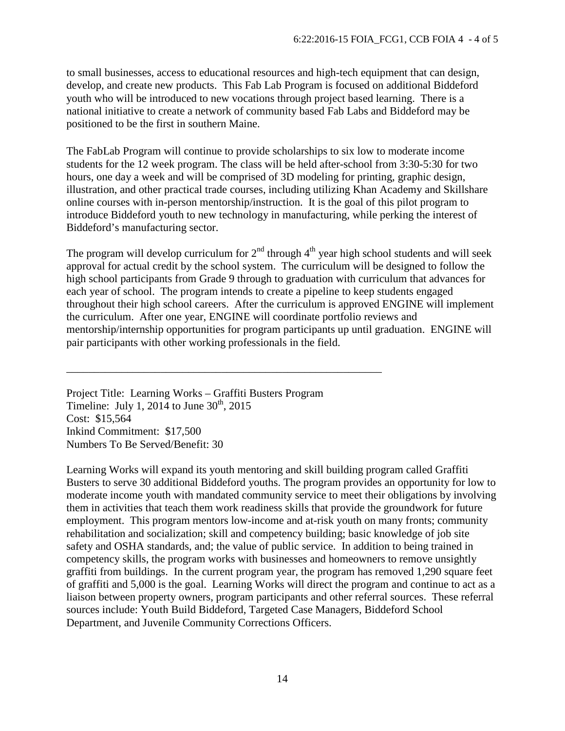to small businesses, access to educational resources and high-tech equipment that can design, develop, and create new products. This Fab Lab Program is focused on additional Biddeford youth who will be introduced to new vocations through project based learning. There is a national initiative to create a network of community based Fab Labs and Biddeford may be positioned to be the first in southern Maine.

The FabLab Program will continue to provide scholarships to six low to moderate income students for the 12 week program. The class will be held after-school from 3:30-5:30 for two hours, one day a week and will be comprised of 3D modeling for printing, graphic design, illustration, and other practical trade courses, including utilizing Khan Academy and Skillshare online courses with in-person mentorship/instruction. It is the goal of this pilot program to introduce Biddeford youth to new technology in manufacturing, while perking the interest of Biddeford's manufacturing sector.

The program will develop curriculum for  $2<sup>nd</sup>$  through  $4<sup>th</sup>$  year high school students and will seek approval for actual credit by the school system. The curriculum will be designed to follow the high school participants from Grade 9 through to graduation with curriculum that advances for each year of school. The program intends to create a pipeline to keep students engaged throughout their high school careers. After the curriculum is approved ENGINE will implement the curriculum. After one year, ENGINE will coordinate portfolio reviews and mentorship/internship opportunities for program participants up until graduation. ENGINE will pair participants with other working professionals in the field.

Project Title: Learning Works – Graffiti Busters Program Timeline: July 1, 2014 to June  $30<sup>th</sup>$ , 2015 Cost: \$15,564 Inkind Commitment: \$17,500 Numbers To Be Served/Benefit: 30

\_\_\_\_\_\_\_\_\_\_\_\_\_\_\_\_\_\_\_\_\_\_\_\_\_\_\_\_\_\_\_\_\_\_\_\_\_\_\_\_\_\_\_\_\_\_\_\_\_\_\_\_\_\_\_\_\_

Learning Works will expand its youth mentoring and skill building program called Graffiti Busters to serve 30 additional Biddeford youths. The program provides an opportunity for low to moderate income youth with mandated community service to meet their obligations by involving them in activities that teach them work readiness skills that provide the groundwork for future employment. This program mentors low-income and at-risk youth on many fronts; community rehabilitation and socialization; skill and competency building; basic knowledge of job site safety and OSHA standards, and; the value of public service. In addition to being trained in competency skills, the program works with businesses and homeowners to remove unsightly graffiti from buildings. In the current program year, the program has removed 1,290 square feet of graffiti and 5,000 is the goal. Learning Works will direct the program and continue to act as a liaison between property owners, program participants and other referral sources. These referral sources include: Youth Build Biddeford, Targeted Case Managers, Biddeford School Department, and Juvenile Community Corrections Officers.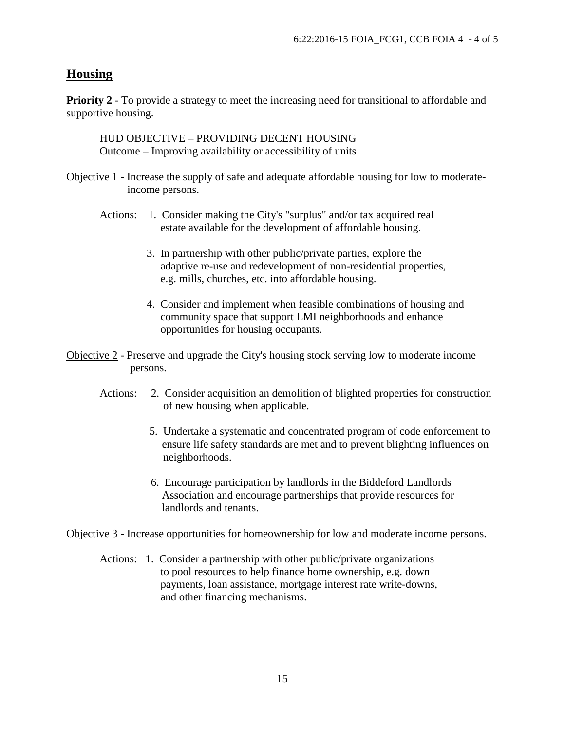## **Housing**

**Priority 2** - To provide a strategy to meet the increasing need for transitional to affordable and supportive housing.

HUD OBJECTIVE – PROVIDING DECENT HOUSING Outcome – Improving availability or accessibility of units

- Objective 1 Increase the supply of safe and adequate affordable housing for low to moderate income persons.
	- Actions: 1. Consider making the City's "surplus" and/or tax acquired real estate available for the development of affordable housing.
		- 3. In partnership with other public/private parties, explore the adaptive re-use and redevelopment of non-residential properties, e.g. mills, churches, etc. into affordable housing.
		- 4. Consider and implement when feasible combinations of housing and community space that support LMI neighborhoods and enhance opportunities for housing occupants.
- Objective 2 Preserve and upgrade the City's housing stock serving low to moderate income persons.
	- Actions: 2. Consider acquisition an demolition of blighted properties for construction of new housing when applicable.
		- 5. Undertake a systematic and concentrated program of code enforcement to ensure life safety standards are met and to prevent blighting influences on neighborhoods.
		- 6. Encourage participation by landlords in the Biddeford Landlords Association and encourage partnerships that provide resources for landlords and tenants.

Objective 3 - Increase opportunities for homeownership for low and moderate income persons.

 Actions: 1. Consider a partnership with other public/private organizations to pool resources to help finance home ownership, e.g. down payments, loan assistance, mortgage interest rate write-downs, and other financing mechanisms.